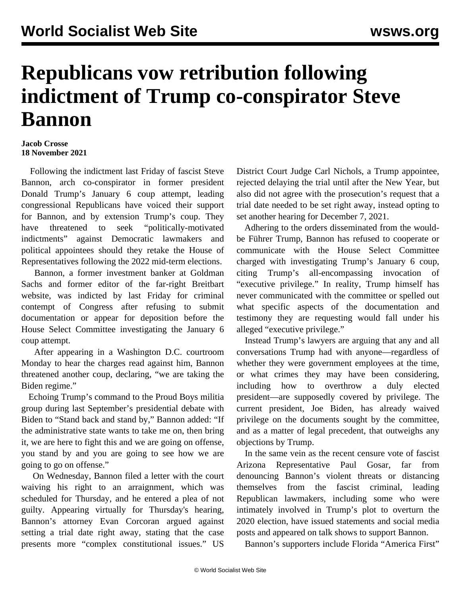## **Republicans vow retribution following indictment of Trump co-conspirator Steve Bannon**

## **Jacob Crosse 18 November 2021**

 Following the indictment last Friday of fascist Steve Bannon, arch co-conspirator in former president Donald Trump's January 6 coup attempt, leading congressional Republicans have voiced their support for Bannon, and by extension Trump's coup. They have threatened to seek "politically-motivated indictments" against Democratic lawmakers and political appointees should they retake the House of Representatives following the 2022 mid-term elections.

 Bannon, a former investment banker at Goldman Sachs and former editor of the far-right Breitbart website, was indicted by last Friday for criminal contempt of Congress after refusing to submit documentation or appear for deposition before the House Select Committee investigating the January 6 coup attempt.

 After appearing in a Washington D.C. courtroom Monday to hear the charges read against him, Bannon [threatened](/en/articles/2021/11/16/bann-n16.html) another coup, declaring, "we are taking the Biden regime."

 Echoing Trump's command to the Proud Boys militia group during last September's presidential debate with Biden to "Stand back and stand by," Bannon added: "If the administrative state wants to take me on, then bring it, we are here to fight this and we are going on offense, you stand by and you are going to see how we are going to go on offense."

 On Wednesday, Bannon filed a letter with the court waiving his right to an arraignment, which was scheduled for Thursday, and he entered a plea of not guilty. Appearing virtually for Thursday's hearing, Bannon's attorney Evan Corcoran argued against setting a trial date right away, stating that the case presents more "complex constitutional issues." US

District Court Judge Carl Nichols, a Trump appointee, rejected delaying the trial until after the New Year, but also did not agree with the prosecution's request that a trial date needed to be set right away, instead opting to set another hearing for December 7, 2021.

 Adhering to the orders disseminated from the wouldbe Führer Trump, Bannon has refused to cooperate or communicate with the House Select Committee charged with investigating Trump's January 6 coup, citing Trump's all-encompassing invocation of "executive privilege." In reality, Trump himself has never communicated with the committee or spelled out what specific aspects of the documentation and testimony they are requesting would fall under his alleged "executive privilege."

 Instead Trump's lawyers are arguing that any and all conversations Trump had with anyone—regardless of whether they were government employees at the time, or what crimes they may have been considering, including how to overthrow a duly elected president—are supposedly covered by privilege. The current president, Joe Biden, has already waived privilege on the documents sought by the committee, and as a matter of legal precedent, that outweighs any objections by Trump.

 In the same vein as the [recent censure vote](/en/articles/2021/11/18/gosa-n18.html) of fascist Arizona Representative Paul Gosar, far from denouncing Bannon's violent threats or distancing themselves from the fascist criminal, leading Republican lawmakers, including some who were intimately involved in Trump's plot to overturn the 2020 election, have issued statements and social media posts and appeared on talk shows to support Bannon.

Bannon's supporters include Florida "America First"